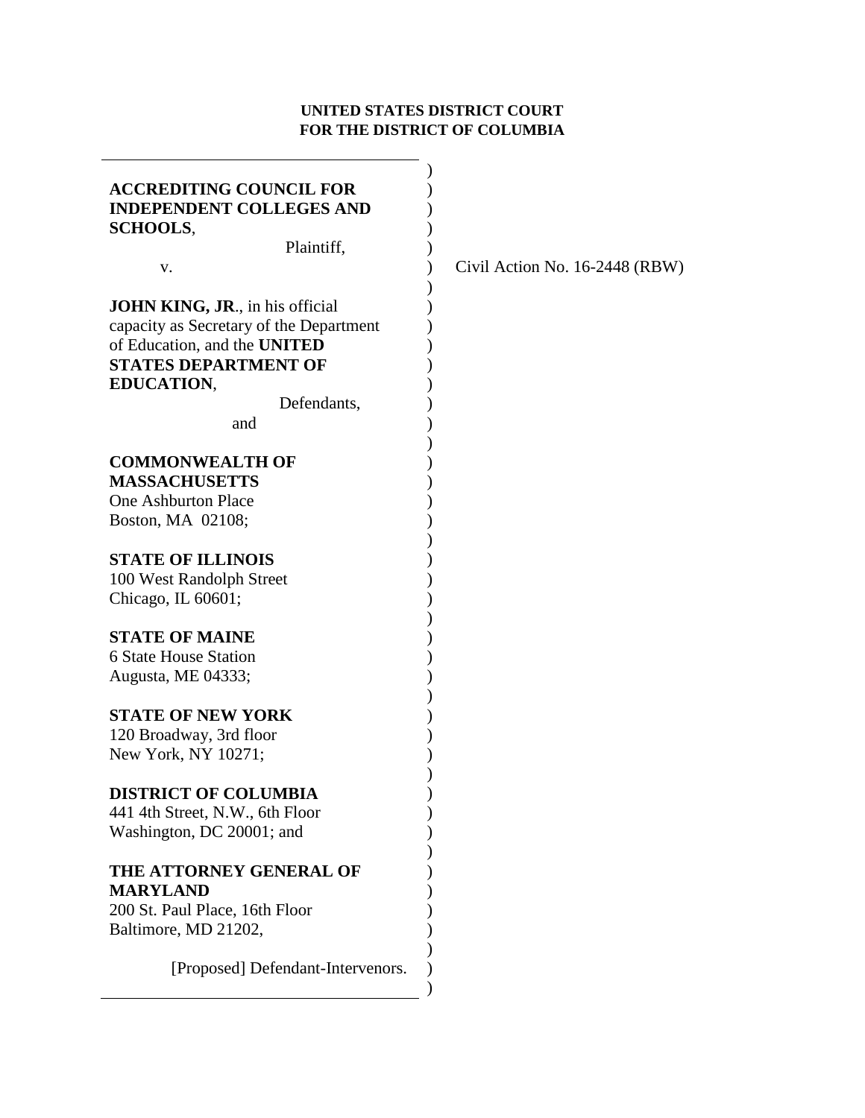## **UNITED STATES DISTRICT COURT FOR THE DISTRICT OF COLUMBIA**

÷.

| <b>ACCREDITING COUNCIL FOR</b><br><b>INDEPENDENT COLLEGES AND</b><br><b>SCHOOLS,</b>                                                                                                        |                                |
|---------------------------------------------------------------------------------------------------------------------------------------------------------------------------------------------|--------------------------------|
| Plaintiff,                                                                                                                                                                                  |                                |
| V.                                                                                                                                                                                          | Civil Action No. 16-2448 (RBW) |
| <b>JOHN KING, JR., in his official</b><br>capacity as Secretary of the Department<br>of Education, and the UNITED<br><b>STATES DEPARTMENT OF</b><br><b>EDUCATION,</b><br>Defendants,<br>and |                                |
|                                                                                                                                                                                             |                                |
| <b>COMMONWEALTH OF</b><br><b>MASSACHUSETTS</b>                                                                                                                                              |                                |
| <b>One Ashburton Place</b>                                                                                                                                                                  |                                |
| Boston, MA 02108;                                                                                                                                                                           |                                |
|                                                                                                                                                                                             |                                |
| <b>STATE OF ILLINOIS</b>                                                                                                                                                                    |                                |
| 100 West Randolph Street                                                                                                                                                                    |                                |
| Chicago, IL 60601;                                                                                                                                                                          |                                |
| <b>STATE OF MAINE</b>                                                                                                                                                                       |                                |
|                                                                                                                                                                                             |                                |
| <b>6 State House Station</b>                                                                                                                                                                |                                |
| Augusta, ME 04333;                                                                                                                                                                          |                                |
| <b>STATE OF NEW YORK</b>                                                                                                                                                                    |                                |
| 120 Broadway, 3rd floor                                                                                                                                                                     |                                |
| New York, NY 10271;                                                                                                                                                                         |                                |
|                                                                                                                                                                                             |                                |
| DISTRICT OF COLUMBIA                                                                                                                                                                        |                                |
| 441 4th Street, N.W., 6th Floor                                                                                                                                                             |                                |
| Washington, DC 20001; and                                                                                                                                                                   |                                |
| THE ATTORNEY GENERAL OF<br><b>MARYLAND</b><br>200 St. Paul Place, 16th Floor<br>Baltimore, MD 21202,                                                                                        |                                |
| [Proposed] Defendant-Intervenors.                                                                                                                                                           |                                |
|                                                                                                                                                                                             |                                |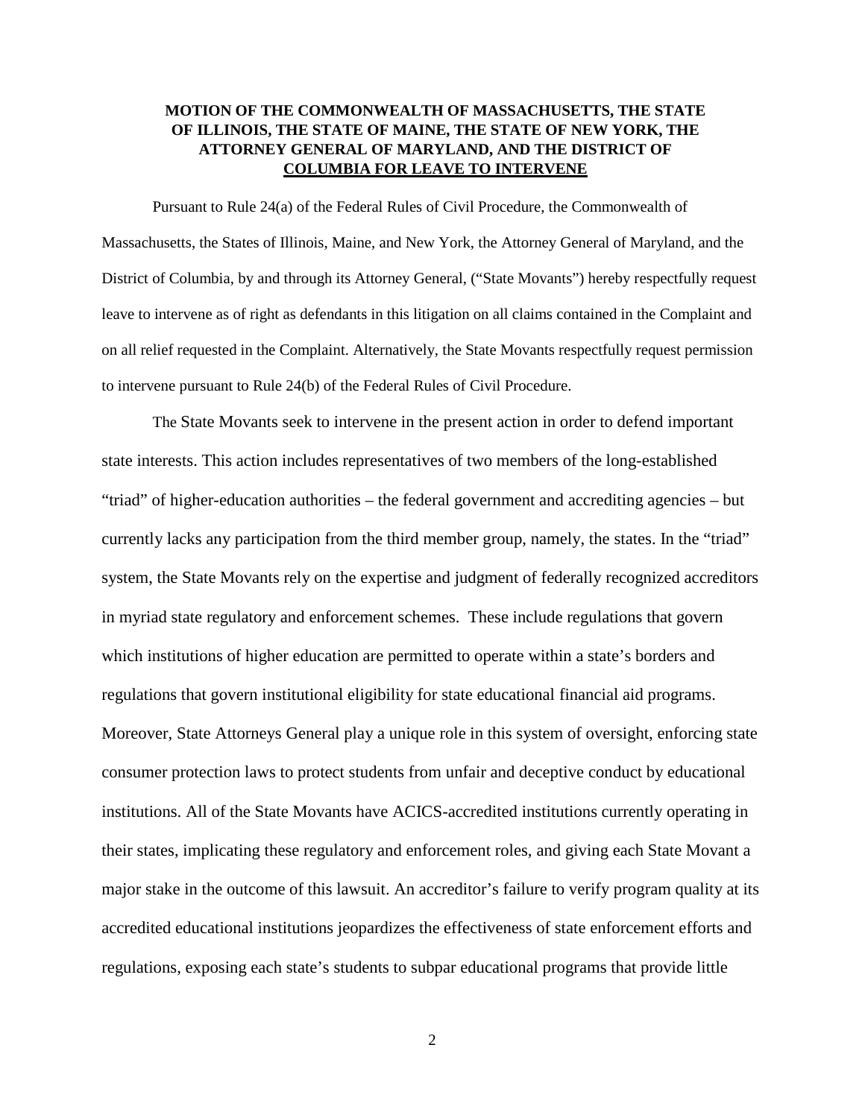## **MOTION OF THE COMMONWEALTH OF MASSACHUSETTS, THE STATE OF ILLINOIS, THE STATE OF MAINE, THE STATE OF NEW YORK, THE ATTORNEY GENERAL OF MARYLAND, AND THE DISTRICT OF COLUMBIA FOR LEAVE TO INTERVENE**

Pursuant to Rule 24(a) of the Federal Rules of Civil Procedure, the Commonwealth of Massachusetts, the States of Illinois, Maine, and New York, the Attorney General of Maryland, and the District of Columbia, by and through its Attorney General, ("State Movants") hereby respectfully request leave to intervene as of right as defendants in this litigation on all claims contained in the Complaint and on all relief requested in the Complaint. Alternatively, the State Movants respectfully request permission to intervene pursuant to Rule 24(b) of the Federal Rules of Civil Procedure.

The State Movants seek to intervene in the present action in order to defend important state interests. This action includes representatives of two members of the long-established "triad" of higher-education authorities – the federal government and accrediting agencies – but currently lacks any participation from the third member group, namely, the states. In the "triad" system, the State Movants rely on the expertise and judgment of federally recognized accreditors in myriad state regulatory and enforcement schemes. These include regulations that govern which institutions of higher education are permitted to operate within a state's borders and regulations that govern institutional eligibility for state educational financial aid programs. Moreover, State Attorneys General play a unique role in this system of oversight, enforcing state consumer protection laws to protect students from unfair and deceptive conduct by educational institutions. All of the State Movants have ACICS-accredited institutions currently operating in their states, implicating these regulatory and enforcement roles, and giving each State Movant a major stake in the outcome of this lawsuit. An accreditor's failure to verify program quality at its accredited educational institutions jeopardizes the effectiveness of state enforcement efforts and regulations, exposing each state's students to subpar educational programs that provide little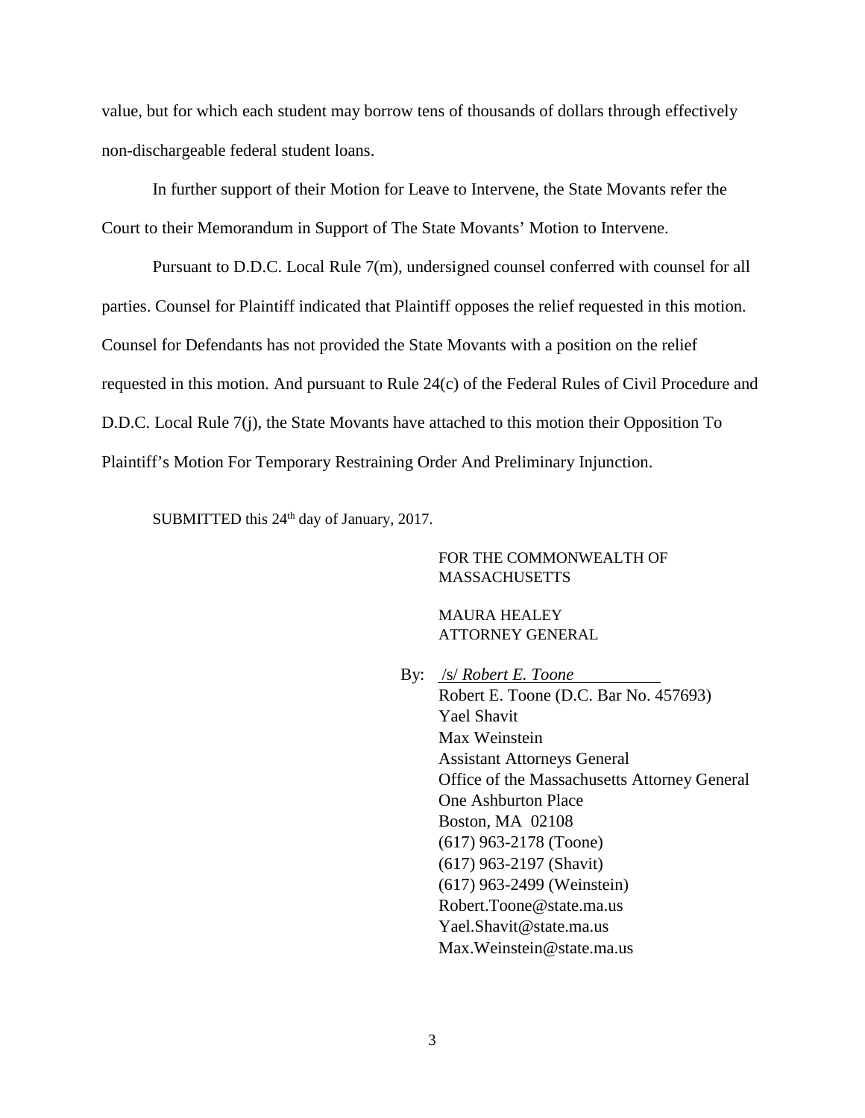value, but for which each student may borrow tens of thousands of dollars through effectively non-dischargeable federal student loans.

In further support of their Motion for Leave to Intervene, the State Movants refer the Court to their Memorandum in Support of The State Movants' Motion to Intervene.

Pursuant to D.D.C. Local Rule 7(m), undersigned counsel conferred with counsel for all parties. Counsel for Plaintiff indicated that Plaintiff opposes the relief requested in this motion. Counsel for Defendants has not provided the State Movants with a position on the relief requested in this motion. And pursuant to Rule 24(c) of the Federal Rules of Civil Procedure and D.D.C. Local Rule 7(j), the State Movants have attached to this motion their Opposition To Plaintiff's Motion For Temporary Restraining Order And Preliminary Injunction.

SUBMITTED this 24<sup>th</sup> day of January, 2017.

FOR THE COMMONWEALTH OF **MASSACHUSETTS** 

MAURA HEALEY ATTORNEY GENERAL

By: /s/ *Robert E. Toone* Robert E. Toone (D.C. Bar No. 457693) Yael Shavit Max Weinstein

Assistant Attorneys General Office of the Massachusetts Attorney General One Ashburton Place Boston, MA 02108 (617) 963-2178 (Toone) (617) 963-2197 (Shavit) (617) 963-2499 (Weinstein) Robert.Toone@state.ma.us Yael.Shavit@state.ma.us Max.Weinstein@state.ma.us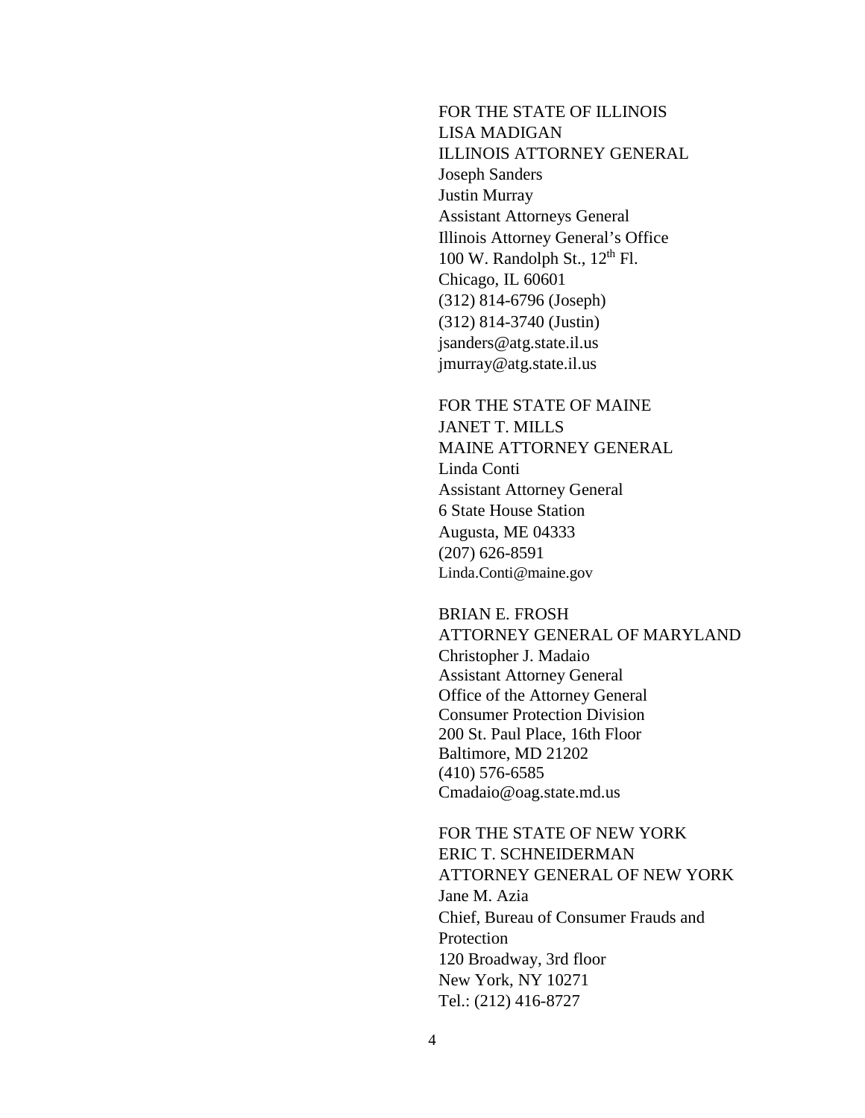FOR THE STATE OF ILLINOIS LISA MADIGAN ILLINOIS ATTORNEY GENERAL Joseph Sanders Justin Murray Assistant Attorneys General Illinois Attorney General's Office 100 W. Randolph St.,  $12<sup>th</sup>$  Fl. Chicago, IL 60601 (312) 814-6796 (Joseph) (312) 814-3740 (Justin) jsanders@atg.state.il.us jmurray@atg.state.il.us

FOR THE STATE OF MAINE JANET T. MILLS MAINE ATTORNEY GENERAL Linda Conti Assistant Attorney General 6 State House Station Augusta, ME 04333 (207) 626-8591 Linda.Conti@maine.gov

BRIAN E. FROSH ATTORNEY GENERAL OF MARYLAND Christopher J. Madaio Assistant Attorney General Office of the Attorney General Consumer Protection Division 200 St. Paul Place, 16th Floor Baltimore, MD 21202 (410) 576-6585 Cmadaio@oag.state.md.us

FOR THE STATE OF NEW YORK ERIC T. SCHNEIDERMAN ATTORNEY GENERAL OF NEW YORK Jane M. Azia Chief, Bureau of Consumer Frauds and Protection 120 Broadway, 3rd floor New York, NY 10271 Tel.: (212) 416-8727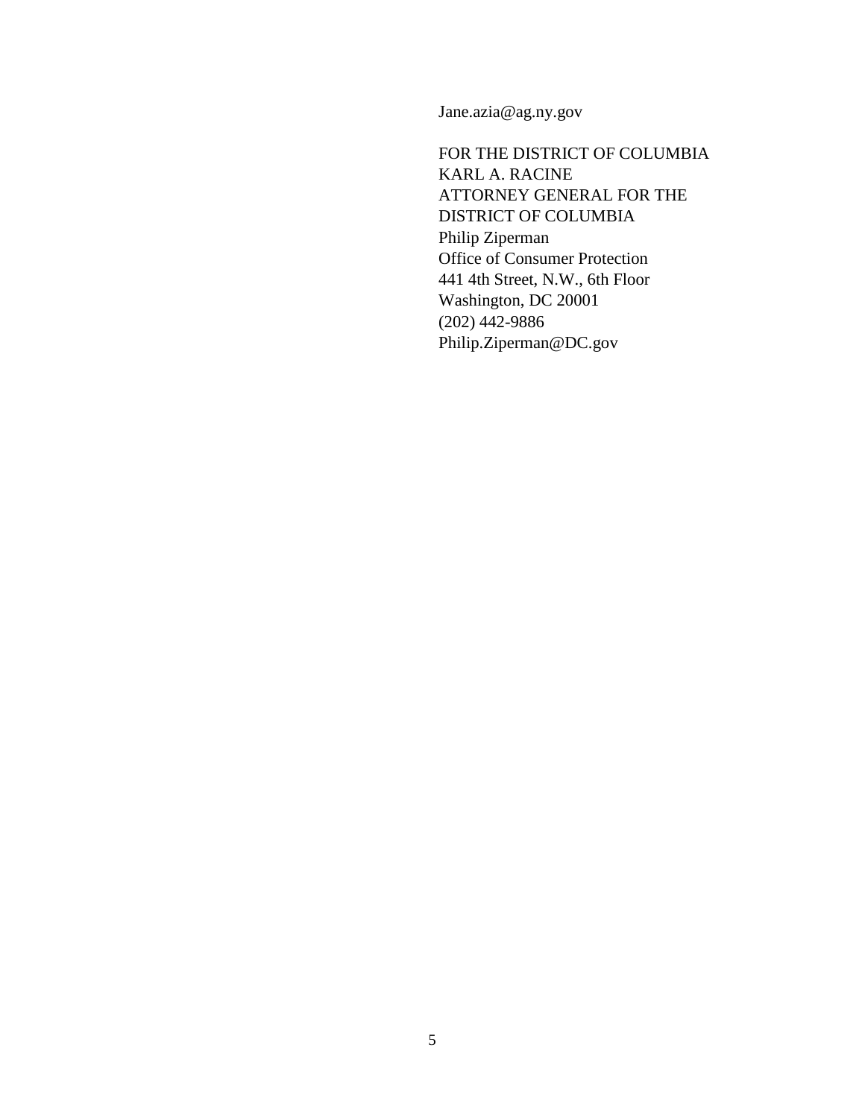Jane.azia@ag.ny.gov

FOR THE DISTRICT OF COLUMBIA KARL A. RACINE ATTORNEY GENERAL FOR THE DISTRICT OF COLUMBIA Philip Ziperman Office of Consumer Protection 441 4th Street, N.W., 6th Floor Washington, DC 20001 (202) 442-9886 Philip.Ziperman@DC.gov